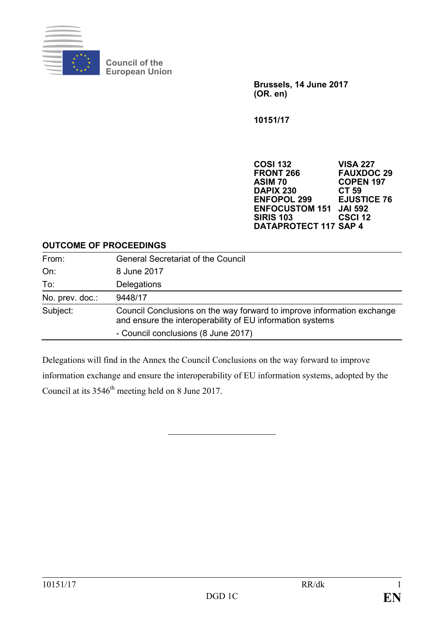

**Council of the European Union**

> **Brussels, 14 June 2017 (OR. en)**

**10151/17**

**COSI 132 VISA 227 FRONT 266 FAUXDOC 29 ASIM 70 COPEN 197 DAPIX 230 CT 59 ENFOPOL 299 EJUSTIC<br>ENFOCUSTOM 151 JAI 592 ENFOCUSTOM 151 JAI 592 SIRIS 103 CSCI 12 DATAPROTECT 117 SAP 4**

#### **OUTCOME OF PROCEEDINGS**

| From:           | <b>General Secretariat of the Council</b>                                                                                           |
|-----------------|-------------------------------------------------------------------------------------------------------------------------------------|
| On:             | 8 June 2017                                                                                                                         |
| To:             | Delegations                                                                                                                         |
| No. prev. doc.: | 9448/17                                                                                                                             |
| Subject:        | Council Conclusions on the way forward to improve information exchange<br>and ensure the interoperability of EU information systems |
|                 | - Council conclusions (8 June 2017)                                                                                                 |

Delegations will find in the Annex the Council Conclusions on the way forward to improve information exchange and ensure the interoperability of EU information systems, adopted by the Council at its 3546<sup>th</sup> meeting held on 8 June 2017.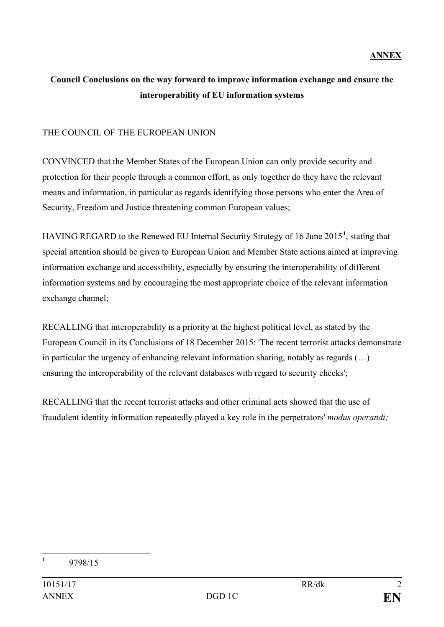## **ANNEX**

# **Council Conclusions on the way forward to improve information exchange and ensure the interoperability of EU information systems**

### THE COUNCIL OF THE EUROPEAN UNION

CONVINCED that the Member States of the European Union can only provide security and protection for their people through a common effort, as only together do they have the relevant means and information, in particular as regards identifying those persons who enter the Area of Security, Freedom and Justice threatening common European values;

HAVING REGARD to the Renewed EU Internal Security Strategy of 16 June 2015**[1](#page-1-0)** , stating that special attention should be given to European Union and Member State actions aimed at improving information exchange and accessibility, especially by ensuring the interoperability of different information systems and by encouraging the most appropriate choice of the relevant information exchange channel;

RECALLING that interoperability is a priority at the highest political level, as stated by the European Council in its Conclusions of 18 December 2015: 'The recent terrorist attacks demonstrate in particular the urgency of enhancing relevant information sharing, notably as regards (…) ensuring the interoperability of the relevant databases with regard to security checks';

<span id="page-1-0"></span>RECALLING that the recent terrorist attacks and other criminal acts showed that the use of fraudulent identity information repeatedly played a key role in the perpetrators' *modus operandi;*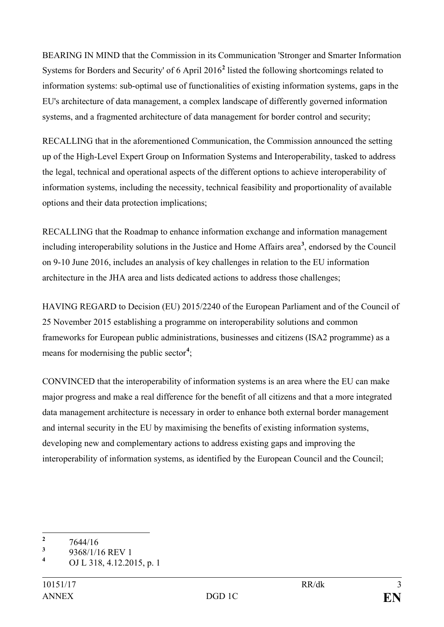BEARING IN MIND that the Commission in its Communication 'Stronger and Smarter Information Systems for Borders and Security' of 6 April 2016**[2](#page-2-0)** listed the following shortcomings related to information systems: sub-optimal use of functionalities of existing information systems, gaps in the EU's architecture of data management, a complex landscape of differently governed information systems, and a fragmented architecture of data management for border control and security;

RECALLING that in the aforementioned Communication, the Commission announced the setting up of the High-Level Expert Group on Information Systems and Interoperability, tasked to address the legal, technical and operational aspects of the different options to achieve interoperability of information systems, including the necessity, technical feasibility and proportionality of available options and their data protection implications;

RECALLING that the Roadmap to enhance information exchange and information management including interoperability solutions in the Justice and Home Affairs area**[3](#page-2-1)** , endorsed by the Council on 9-10 June 2016, includes an analysis of key challenges in relation to the EU information architecture in the JHA area and lists dedicated actions to address those challenges;

HAVING REGARD to Decision (EU) 2015/2240 of the European Parliament and of the Council of 25 November 2015 establishing a programme on interoperability solutions and common frameworks for European public administrations, businesses and citizens (ISA2 programme) as a means for modernising the public sector**[4](#page-2-2)** ;

CONVINCED that the interoperability of information systems is an area where the EU can make major progress and make a real difference for the benefit of all citizens and that a more integrated data management architecture is necessary in order to enhance both external border management and internal security in the EU by maximising the benefits of existing information systems, developing new and complementary actions to address existing gaps and improving the interoperability of information systems, as identified by the European Council and the Council;

<span id="page-2-0"></span> $\frac{2}{3}$  7644/16

<span id="page-2-1"></span> $\frac{3}{4}$  9368/1/16 REV 1

<span id="page-2-2"></span>**<sup>4</sup>** OJ L 318, 4.12.2015, p. 1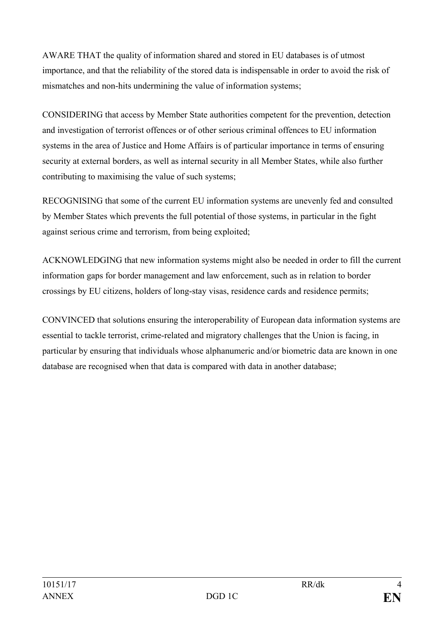AWARE THAT the quality of information shared and stored in EU databases is of utmost importance, and that the reliability of the stored data is indispensable in order to avoid the risk of mismatches and non-hits undermining the value of information systems;

CONSIDERING that access by Member State authorities competent for the prevention, detection and investigation of terrorist offences or of other serious criminal offences to EU information systems in the area of Justice and Home Affairs is of particular importance in terms of ensuring security at external borders, as well as internal security in all Member States, while also further contributing to maximising the value of such systems;

RECOGNISING that some of the current EU information systems are unevenly fed and consulted by Member States which prevents the full potential of those systems, in particular in the fight against serious crime and terrorism, from being exploited;

ACKNOWLEDGING that new information systems might also be needed in order to fill the current information gaps for border management and law enforcement, such as in relation to border crossings by EU citizens, holders of long-stay visas, residence cards and residence permits;

CONVINCED that solutions ensuring the interoperability of European data information systems are essential to tackle terrorist, crime-related and migratory challenges that the Union is facing, in particular by ensuring that individuals whose alphanumeric and/or biometric data are known in one database are recognised when that data is compared with data in another database;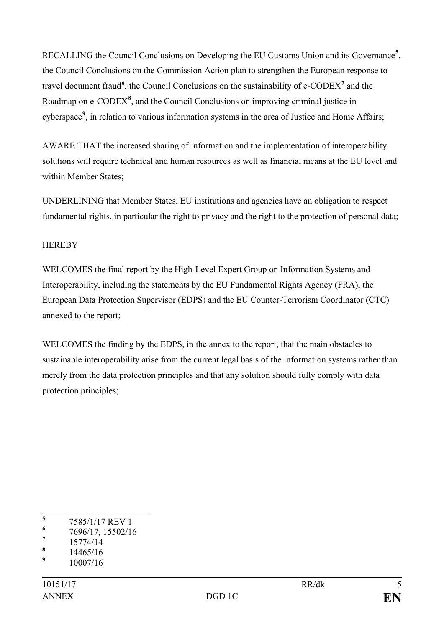RECALLING the Council Conclusions on Developing the EU Customs Union and its Governance**[5](#page-4-0)** , the Council Conclusions on the Commission Action plan to strengthen the European response to travel document fraud<sup>[6](#page-4-1)</sup>, the Council Conclusions on the sustainability of e-CODEX<sup>[7](#page-4-2)</sup> and the Roadmap on e-CODEX<sup>[8](#page-4-3)</sup>, and the Council Conclusions on improving criminal justice in cyberspace**[9](#page-4-4)** , in relation to various information systems in the area of Justice and Home Affairs;

AWARE THAT the increased sharing of information and the implementation of interoperability solutions will require technical and human resources as well as financial means at the EU level and within Member States;

UNDERLINING that Member States, EU institutions and agencies have an obligation to respect fundamental rights, in particular the right to privacy and the right to the protection of personal data;

## **HEREBY**

WELCOMES the final report by the High-Level Expert Group on Information Systems and Interoperability, including the statements by the EU Fundamental Rights Agency (FRA), the European Data Protection Supervisor (EDPS) and the EU Counter-Terrorism Coordinator (CTC) annexed to the report;

WELCOMES the finding by the EDPS, in the annex to the report, that the main obstacles to sustainable interoperability arise from the current legal basis of the information systems rather than merely from the data protection principles and that any solution should fully comply with data protection principles;

<span id="page-4-0"></span> $\frac{5}{6}$  7585/1/17 REV 1

<span id="page-4-1"></span> $\frac{6}{7}$  7696/17, 15502/16

<span id="page-4-2"></span> $\frac{7}{8}$  15774/14

<span id="page-4-3"></span> $\frac{8}{9}$  14465/16

<span id="page-4-4"></span>**<sup>9</sup>** 10007/16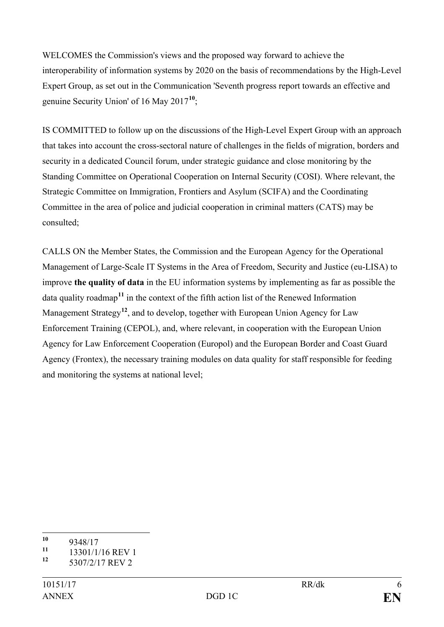WELCOMES the Commission's views and the proposed way forward to achieve the interoperability of information systems by 2020 on the basis of recommendations by the High-Level Expert Group, as set out in the Communication 'Seventh progress report towards an effective and genuine Security Union' of 16 May 2017**[10](#page-5-0)**;

IS COMMITTED to follow up on the discussions of the High-Level Expert Group with an approach that takes into account the cross-sectoral nature of challenges in the fields of migration, borders and security in a dedicated Council forum, under strategic guidance and close monitoring by the Standing Committee on Operational Cooperation on Internal Security (COSI). Where relevant, the Strategic Committee on Immigration, Frontiers and Asylum (SCIFA) and the Coordinating Committee in the area of police and judicial cooperation in criminal matters (CATS) may be consulted;

CALLS ON the Member States, the Commission and the European Agency for the Operational Management of Large-Scale IT Systems in the Area of Freedom, Security and Justice (eu-LISA) to improve **the quality of data** in the EU information systems by implementing as far as possible the data quality roadmap**[11](#page-5-1)** in the context of the fifth action list of the Renewed Information Management Strategy**[12](#page-5-2)**, and to develop, together with European Union Agency for Law Enforcement Training (CEPOL), and, where relevant, in cooperation with the European Union Agency for Law Enforcement Cooperation (Europol) and the European Border and Coast Guard Agency (Frontex), the necessary training modules on data quality for staff responsible for feeding and monitoring the systems at national level;

<span id="page-5-0"></span> $\frac{10}{11}$  9348/17

<span id="page-5-1"></span> $\frac{11}{12}$  13301/1/16 REV 1

<span id="page-5-2"></span>**<sup>12</sup>** 5307/2/17 REV 2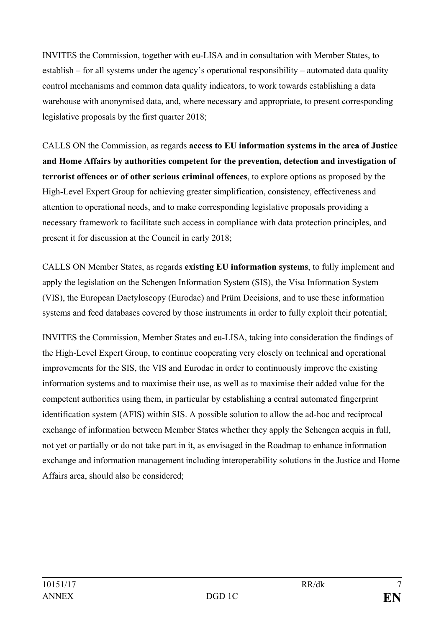INVITES the Commission, together with eu-LISA and in consultation with Member States, to establish – for all systems under the agency's operational responsibility – automated data quality control mechanisms and common data quality indicators, to work towards establishing a data warehouse with anonymised data, and, where necessary and appropriate, to present corresponding legislative proposals by the first quarter 2018;

CALLS ON the Commission, as regards **access to EU information systems in the area of Justice and Home Affairs by authorities competent for the prevention, detection and investigation of terrorist offences or of other serious criminal offences**, to explore options as proposed by the High-Level Expert Group for achieving greater simplification, consistency, effectiveness and attention to operational needs, and to make corresponding legislative proposals providing a necessary framework to facilitate such access in compliance with data protection principles, and present it for discussion at the Council in early 2018;

CALLS ON Member States, as regards **existing EU information systems**, to fully implement and apply the legislation on the Schengen Information System (SIS), the Visa Information System (VIS), the European Dactyloscopy (Eurodac) and Prüm Decisions, and to use these information systems and feed databases covered by those instruments in order to fully exploit their potential;

INVITES the Commission, Member States and eu-LISA, taking into consideration the findings of the High-Level Expert Group, to continue cooperating very closely on technical and operational improvements for the SIS, the VIS and Eurodac in order to continuously improve the existing information systems and to maximise their use, as well as to maximise their added value for the competent authorities using them, in particular by establishing a central automated fingerprint identification system (AFIS) within SIS. A possible solution to allow the ad-hoc and reciprocal exchange of information between Member States whether they apply the Schengen acquis in full, not yet or partially or do not take part in it, as envisaged in the Roadmap to enhance information exchange and information management including interoperability solutions in the Justice and Home Affairs area, should also be considered;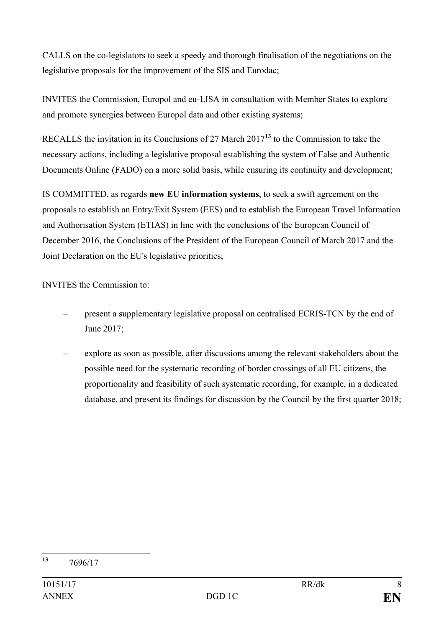CALLS on the co-legislators to seek a speedy and thorough finalisation of the negotiations on the legislative proposals for the improvement of the SIS and Eurodac;

INVITES the Commission, Europol and eu-LISA in consultation with Member States to explore and promote synergies between Europol data and other existing systems;

RECALLS the invitation in its Conclusions of 27 March 2017**[13](#page-7-0)** to the Commission to take the necessary actions, including a legislative proposal establishing the system of False and Authentic Documents Online (FADO) on a more solid basis, while ensuring its continuity and development;

IS COMMITTED, as regards **new EU information systems**, to seek a swift agreement on the proposals to establish an Entry/Exit System (EES) and to establish the European Travel Information and Authorisation System (ETIAS) in line with the conclusions of the European Council of December 2016, the Conclusions of the President of the European Council of March 2017 and the Joint Declaration on the EU's legislative priorities;

INVITES the Commission to:

- present a supplementary legislative proposal on centralised ECRIS-TCN by the end of June 2017;
- explore as soon as possible, after discussions among the relevant stakeholders about the possible need for the systematic recording of border crossings of all EU citizens, the proportionality and feasibility of such systematic recording, for example, in a dedicated database, and present its findings for discussion by the Council by the first quarter 2018;

<span id="page-7-0"></span>**<sup>13</sup>** 7696/17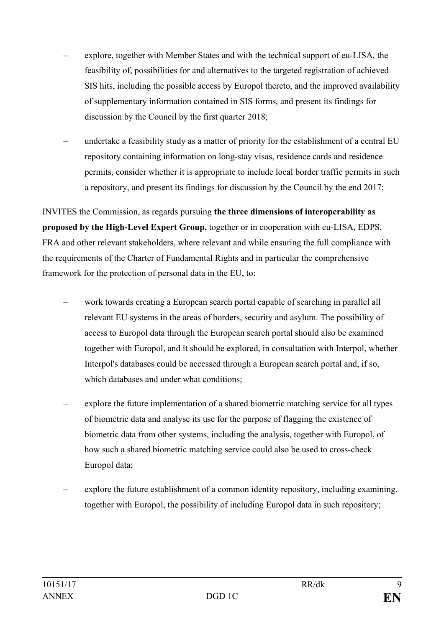- explore, together with Member States and with the technical support of eu-LISA, the feasibility of, possibilities for and alternatives to the targeted registration of achieved SIS hits, including the possible access by Europol thereto, and the improved availability of supplementary information contained in SIS forms, and present its findings for discussion by the Council by the first quarter 2018;
- undertake a feasibility study as a matter of priority for the establishment of a central EU repository containing information on long-stay visas, residence cards and residence permits, consider whether it is appropriate to include local border traffic permits in such a repository, and present its findings for discussion by the Council by the end 2017;

INVITES the Commission, as regards pursuing **the three dimensions of interoperability as proposed by the High-Level Expert Group,** together or in cooperation with eu-LISA, EDPS, FRA and other relevant stakeholders, where relevant and while ensuring the full compliance with the requirements of the Charter of Fundamental Rights and in particular the comprehensive framework for the protection of personal data in the EU, to:

- work towards creating a European search portal capable of searching in parallel all relevant EU systems in the areas of borders, security and asylum. The possibility of access to Europol data through the European search portal should also be examined together with Europol, and it should be explored, in consultation with Interpol, whether Interpol's databases could be accessed through a European search portal and, if so, which databases and under what conditions:
- explore the future implementation of a shared biometric matching service for all types of biometric data and analyse its use for the purpose of flagging the existence of biometric data from other systems, including the analysis, together with Europol, of how such a shared biometric matching service could also be used to cross-check Europol data;
- explore the future establishment of a common identity repository, including examining, together with Europol, the possibility of including Europol data in such repository;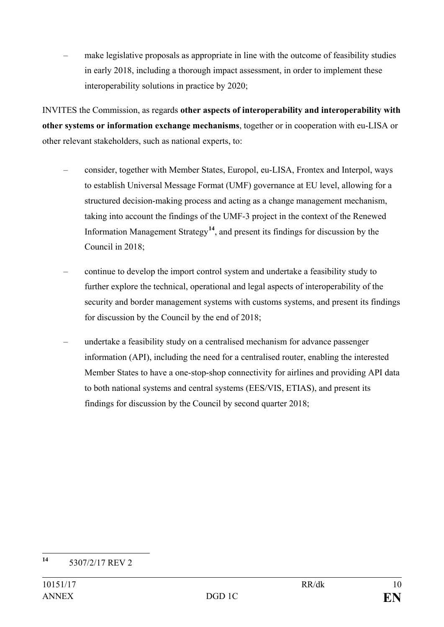– make legislative proposals as appropriate in line with the outcome of feasibility studies in early 2018, including a thorough impact assessment, in order to implement these interoperability solutions in practice by 2020;

INVITES the Commission, as regards **other aspects of interoperability and interoperability with other systems or information exchange mechanisms**, together or in cooperation with eu-LISA or other relevant stakeholders, such as national experts, to:

- consider, together with Member States, Europol, eu-LISA, Frontex and Interpol, ways to establish Universal Message Format (UMF) governance at EU level, allowing for a structured decision-making process and acting as a change management mechanism, taking into account the findings of the UMF-3 project in the context of the Renewed Information Management Strategy**[14](#page-9-0)**, and present its findings for discussion by the Council in 2018;
- continue to develop the import control system and undertake a feasibility study to further explore the technical, operational and legal aspects of interoperability of the security and border management systems with customs systems, and present its findings for discussion by the Council by the end of 2018;
- undertake a feasibility study on a centralised mechanism for advance passenger information (API), including the need for a centralised router, enabling the interested Member States to have a one-stop-shop connectivity for airlines and providing API data to both national systems and central systems (EES/VIS, ETIAS), and present its findings for discussion by the Council by second quarter 2018;

<span id="page-9-0"></span>**<sup>14</sup>** 5307/2/17 REV 2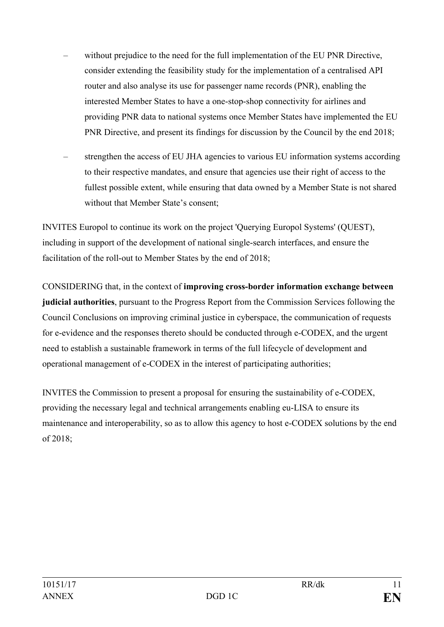- without prejudice to the need for the full implementation of the EU PNR Directive, consider extending the feasibility study for the implementation of a centralised API router and also analyse its use for passenger name records (PNR), enabling the interested Member States to have a one-stop-shop connectivity for airlines and providing PNR data to national systems once Member States have implemented the EU PNR Directive, and present its findings for discussion by the Council by the end 2018;
- strengthen the access of EU JHA agencies to various EU information systems according to their respective mandates, and ensure that agencies use their right of access to the fullest possible extent, while ensuring that data owned by a Member State is not shared without that Member State's consent;

INVITES Europol to continue its work on the project 'Querying Europol Systems' (QUEST), including in support of the development of national single-search interfaces, and ensure the facilitation of the roll-out to Member States by the end of 2018;

CONSIDERING that, in the context of **improving cross-border information exchange between judicial authorities**, pursuant to the Progress Report from the Commission Services following the Council Conclusions on improving criminal justice in cyberspace, the communication of requests for e-evidence and the responses thereto should be conducted through e-CODEX, and the urgent need to establish a sustainable framework in terms of the full lifecycle of development and operational management of e-CODEX in the interest of participating authorities;

INVITES the Commission to present a proposal for ensuring the sustainability of e-CODEX, providing the necessary legal and technical arrangements enabling eu-LISA to ensure its maintenance and interoperability, so as to allow this agency to host e-CODEX solutions by the end of 2018;